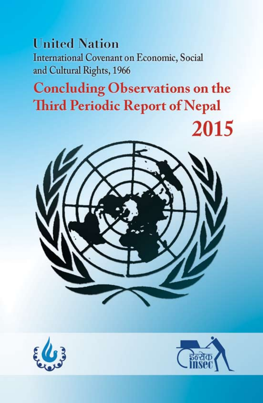## **United Nation** International Covenant on Economic, Social and Cultural Rights, 1966

# **Concluding Observations on the Third Periodic Report of Nepal**





2015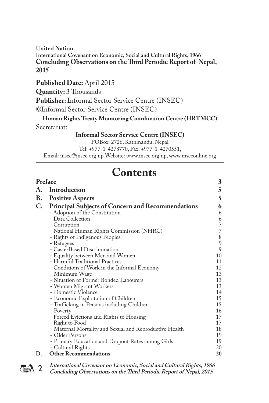#### **United Nation International Covenant on Economic, Social and Cultural Rights, 1966 Concluding Observations on the Third Periodic Report of Nepal, 2015**

Published Date: April 2015

**Quantity:** 3 Thousands

**Publisher:** Informal Sector Service Centre (INSEC)

©Informal Sector Service Centre (INSEC)

**Human Rights Treaty Monitoring Coordination Centre (HRTMCC)** Secretariat:

**Informal Sector Service Centre (INSEC)**

POBox: 2726, Kathmandu, Nepal

Tel: +977-1-4278770, Fax: +977-1-4270551,

Email: insec@insec.org.np Website: www.insec.org.np, www.inseconline.org

## **Contents**

| Preface   |                                                          | 3                                     |
|-----------|----------------------------------------------------------|---------------------------------------|
| А.        | Introduction                                             | 5                                     |
| <b>B.</b> | <b>Positive Aspects</b>                                  | 5                                     |
| C.        | <b>Principal Subjects of Concern and Recommendations</b> | 6                                     |
|           | - Adoption of the Constitution                           | 6                                     |
|           | - Data Collection                                        | $\begin{array}{c} 6 \\ 7 \end{array}$ |
|           | - Corruption                                             |                                       |
|           | - National Human Rights Commission (NHRC)                | 7                                     |
|           | - Rights of Indigenous Peoples                           | $\begin{array}{c} 8 \\ 9 \end{array}$ |
|           | - Refugees                                               |                                       |
|           | - Caste-Based Discrimination                             | 9                                     |
|           | - Equality between Men and Women                         | 10                                    |
|           | - Harmful Traditional Practices                          | 11                                    |
|           | - Conditions of Work in the Informal Economy             | 12                                    |
|           | - Minimum Wage                                           | 13                                    |
|           | - Situation of Former Bonded Labourers                   | 13                                    |
|           | - Women Migrant Workers                                  | 13                                    |
|           | - Domestic Violence                                      | 14                                    |
|           | - Economic Exploitation of Children                      | 15                                    |
|           | - Trafficking in Persons including Children              | 15                                    |
|           | - Poverty                                                | 16                                    |
|           | - Forced Evictions and Rights to Housing                 | 17                                    |
|           | - Right to Food                                          | 17                                    |
|           | - Maternal Mortality and Sexual and Reproductive Health  | 18                                    |
|           | - Older Persons                                          | 19                                    |
|           | - Primary Education and Dropout Rates among Girls        | 19                                    |
|           | - Cultural Rights                                        | 20                                    |
| D.        | <b>Other Recommendations</b>                             | 20                                    |
|           |                                                          |                                       |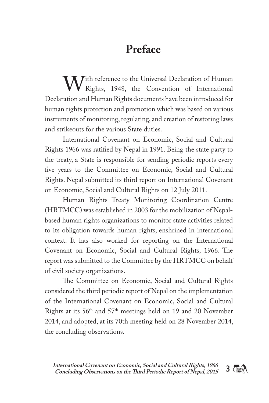## **Preface**

With reference to the Universal Declaration of Human<br>Rights, 1948, the Convention of International<br>Rights documents have been introduced for Rights, 1948, the Convention of International Declaration and Human Rights documents have been introduced for human rights protection and promotion which was based on various instruments of monitoring, regulating, and creation of restoring laws and strikeouts for the various State duties.

International Covenant on Economic, Social and Cultural Rights 1966 was ratified by Nepal in 1991. Being the state party to the treaty, a State is responsible for sending periodic reports every five years to the Committee on Economic, Social and Cultural Rights. Nepal submitted its third report on International Covenant on Economic, Social and Cultural Rights on 12 July 2011.

Human Rights Treaty Monitoring Coordination Centre (HRTMCC) was established in 2003 for the mobilization of Nepalbased human rights organizations to monitor state activities related to its obligation towards human rights, enshrined in international context. It has also worked for reporting on the International Covenant on Economic, Social and Cultural Rights, 1966. The report was submitted to the Committee by the HRTMCC on behalf of civil society organizations.

The Committee on Economic, Social and Cultural Rights considered the third periodic report of Nepal on the implementation of the International Covenant on Economic, Social and Cultural Rights at its 56th and 57th meetings held on 19 and 20 November 2014, and adopted, at its 70th meeting held on 28 November 2014, the concluding observations.

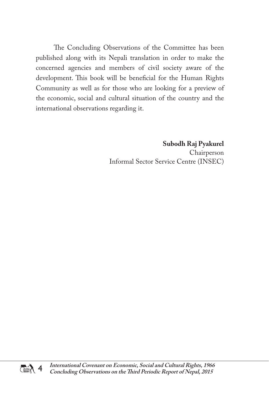The Concluding Observations of the Committee has been published along with its Nepali translation in order to make the concerned agencies and members of civil society aware of the development. This book will be beneficial for the Human Rights Community as well as for those who are looking for a preview of the economic, social and cultural situation of the country and the international observations regarding it.

> **Subodh Raj Pyakurel** Chairperson Informal Sector Service Centre (INSEC)

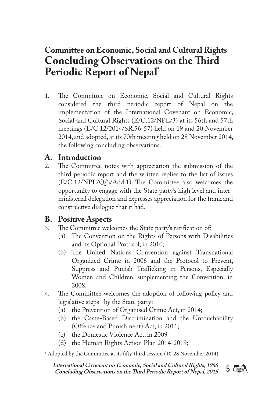## **Committee on Economic, Social and Cultural Rights Concluding Observations on the Third Periodic Report of Nepal\***

1. The Committee on Economic, Social and Cultural Rights considered the third periodic report of Nepal on the implementation of the International Covenant on Economic, Social and Cultural Rights (E/C.12/NPL/3) at its 56th and 57th meetings (E/C.12/2014/SR.56-57) held on 19 and 20 November 2014, and adopted, at its 70th meeting held on 28 November 2014, the following concluding observations.

# **A. Introduction**

The Committee notes with appreciation the submission of the third periodic report and the written replies to the list of issues (E/C.12/NPL/Q/3/Add.1). The Committee also welcomes the opportunity to engage with the State party's high level and interministerial delegation and expresses appreciation for the frank and constructive dialogue that it had.

## **B. Positive Aspects**

- The Committee welcomes the State party's ratification of:
	- (a) The Convention on the Rights of Persons with Disabilities and its Optional Protocol, in 2010;
	- (b) The United Nations Convention against Transnational Organized Crime in 2006 and the Protocol to Prevent, Suppress and Punish Trafficking in Persons, Especially Women and Children, supplementing the Convention, in 2008.
- 4. The Committee welcomes the adoption of following policy and legislative steps by the State party:
	- (a) the Prevention of Organised Crime Act, in 2014;
	- (b) the Caste-Based Discrimination and the Untouchability (Offence and Punishment) Act, in 2011;
	- (c) the Domestic Violence Act, in 2009
	- (d) the Human Rights Action Plan 2014-2019;

\* Adopted by the Committee at its fifty-third session (10-28 November 2014).

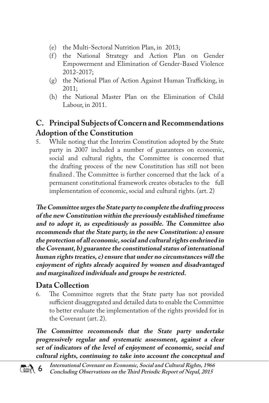- (e) the Multi-Sectoral Nutrition Plan, in 2013;
- (f) the National Strategy and Action Plan on Gender Empowerment and Elimination of Gender-Based Violence 2012-2017;
- (g) the National Plan of Action Against Human Trafficking, in 2011;
- (h) the National Master Plan on the Elimination of Child Labour, in 2011.

## **C. Principal Subjects of Concern and Recommendations Adoption of the Constitution**

5. While noting that the Interim Constitution adopted by the State party in 2007 included a number of guarantees on economic, social and cultural rights, the Committee is concerned that the drafting process of the new Constitution has still not been finalized . The Committee is further concerned that the lack of a permanent constitutional framework creates obstacles to the full implementation of economic, social and cultural rights. (art. 2)

**The Committee urges the State party to complete the drafting process of the new Constitution within the previously established timeframe and to adopt it, as expeditiously as possible. The Committee also recommends that the State party, in the new Constitution: a) ensure the protection of all economic, social and cultural rights enshrined in the Covenant, b) guarantee the constitutional status of international human rights treaties, c) ensure that under no circumstances will the enjoyment of rights already acquired by women and disadvantaged and marginalized individuals and groups be restricted.** 

# **Data Collection**

The Committee regrets that the State party has not provided sufficient disaggregated and detailed data to enable the Committee to better evaluate the implementation of the rights provided for in the Covenant (art. 2).

**The Committee recommends that the State party undertake progressively regular and systematic assessment, against a clear set of indicators of the level of enjoyment of economic, social and cultural rights, continuing to take into account the conceptual and**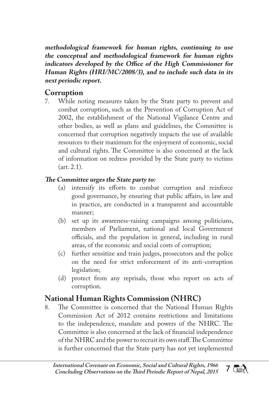**methodological framework for human rights, continuing to use the conceptual and methodological framework for human rights indicators developed by the Office of the High Commissioner for Human Rights (HRI/MC/2008/3), and to include such data in its next periodic report.**

## **Corruption**

7. While noting measures taken by the State party to prevent and combat corruption, such as the Prevention of Corruption Act of 2002, the establishment of the National Vigilance Centre and other bodies, as well as plans and guidelines, the Committee is concerned that corruption negatively impacts the use of available resources to their maximum for the enjoyment of economic, social and cultural rights. The Committee is also concerned at the lack of information on redress provided by the State party to victims (art. 2.1).

#### **The Committee urges the State party to:**

- (a) intensify its efforts to combat corruption and reinforce good governance, by ensuring that public affairs, in law and in practice, are conducted in a transparent and accountable manner;
- (b) set up its awareness-raising campaigns among politicians, members of Parliament, national and local Government officials, and the population in general, including in rural areas, of the economic and social costs of corruption;
- (c) further sensitize and train judges, prosecutors and the police on the need for strict enforcement of its anti-corruption legislation;
- (d) protect from any reprisals, those who report on acts of corruption.

# **National Human Rights Commission (NHRC)**

The Committee is concerned that the National Human Rights Commission Act of 2012 contains restrictions and limitations to the independence, mandate and powers of the NHRC. The Committee is also concerned at the lack of financial independence of the NHRC and the power to recruit its own staff. The Committee is further concerned that the State party has not yet implemented

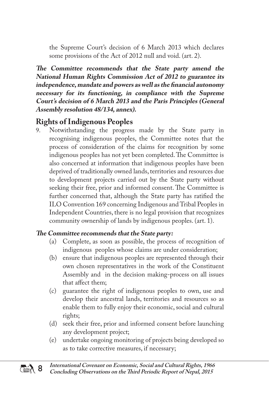the Supreme Court's decision of 6 March 2013 which declares some provisions of the Act of 2012 null and void. (art. 2).

**The Committee recommends that the State party amend the National Human Rights Commission Act of 2012 to guarantee its independence, mandate and powers as well as the financial autonomy necessary for its functioning, in compliance with the Supreme Court's decision of 6 March 2013 and the Paris Principles (General Assembly resolution 48/134, annex).** 

# **Rights of Indigenous Peoples**

Notwithstanding the progress made by the State party in recognising indigenous peoples, the Committee notes that the process of consideration of the claims for recognition by some indigenous peoples has not yet been completed. The Committee is also concerned at information that indigenous peoples have been deprived of traditionally owned lands, territories and resources due to development projects carried out by the State party without seeking their free, prior and informed consent. The Committee is further concerned that, although the State party has ratified the ILO Convention 169 concerning Indigenous and Tribal Peoples in Independent Countries, there is no legal provision that recognizes community ownership of lands by indigenous peoples. (art. 1).

- (a) Complete, as soon as possible, the process of recognition of indigenous peoples whose claims are under consideration;
- (b) ensure that indigenous peoples are represented through their own chosen representatives in the work of the Constituent Assembly and in the decision making-process on all issues that affect them;
- (c) guarantee the right of indigenous peoples to own, use and develop their ancestral lands, territories and resources so as enable them to fully enjoy their economic, social and cultural rights;
- (d) seek their free, prior and informed consent before launching any development project;
- (e) undertake ongoing monitoring of projects being developed so as to take corrective measures, if necessary;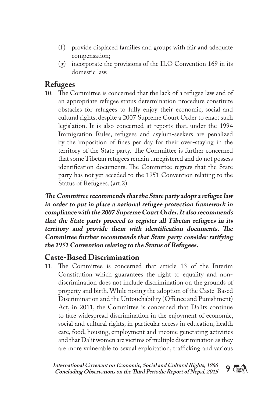- (f) provide displaced families and groups with fair and adequate compensation;
- (g) incorporate the provisions of the ILO Convention 169 in its domestic law.

## **Refugees**

10. The Committee is concerned that the lack of a refugee law and of an appropriate refugee status determination procedure constitute obstacles for refugees to fully enjoy their economic, social and cultural rights, despite a 2007 Supreme Court Order to enact such legislation. It is also concerned at reports that, under the 1994 Immigration Rules, refugees and asylum-seekers are penalized by the imposition of fines per day for their over-staying in the territory of the State party. The Committee is further concerned that some Tibetan refugees remain unregistered and do not possess identification documents. The Committee regrets that the State party has not yet acceded to the 1951 Convention relating to the Status of Refugees. (art.2)

**The Committee recommends that the State party adopt a refugee law in order to put in place a national refugee protection framework in compliance with the 2007 Supreme Court Order. It also recommends that the State party proceed to register all Tibetan refugees in its territory and provide them with identification documents. The Committee further recommends that State party consider ratifying the 1951 Convention relating to the Status of Refugees.** 

## **Caste-Based Discrimination**

11. The Committee is concerned that article 13 of the Interim Constitution which guarantees the right to equality and nondiscrimination does not include discrimination on the grounds of property and birth. While noting the adoption of the Caste-Based Discrimination and the Untouchability (Offence and Punishment) Act, in 2011, the Committee is concerned that Dalits continue to face widespread discrimination in the enjoyment of economic, social and cultural rights, in particular access in education, health care, food, housing, employment and income generating activities and that Dalit women are victims of multiple discrimination as they are more vulnerable to sexual exploitation, trafficking and various

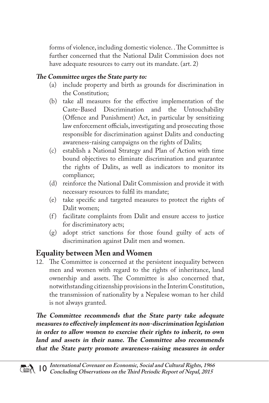forms of violence, including domestic violence. . The Committee is further concerned that the National Dalit Commission does not have adequate resources to carry out its mandate. (art. 2)

#### **The Committee urges the State party to:**

- (a) include property and birth as grounds for discrimination in the Constitution;
- (b) take all measures for the effective implementation of the Caste-Based Discrimination and the Untouchability (Offence and Punishment) Act, in particular by sensitizing law enforcement officials, investigating and prosecuting those responsible for discrimination against Dalits and conducting awareness-raising campaigns on the rights of Dalits;
- (c) establish a National Strategy and Plan of Action with time bound objectives to eliminate discrimination and guarantee the rights of Dalits, as well as indicators to monitor its compliance;
- (d) reinforce the National Dalit Commission and provide it with necessary resources to fulfil its mandate;
- (e) take specific and targeted measures to protect the rights of Dalit women;
- (f) facilitate complaints from Dalit and ensure access to justice for discriminatory acts;
- (g) adopt strict sanctions for those found guilty of acts of discrimination against Dalit men and women.

## **Equality between Men and Women**

12. The Committee is concerned at the persistent inequality between men and women with regard to the rights of inheritance, land ownership and assets. The Committee is also concerned that, notwithstanding citizenship provisions in the Interim Constitution, the transmission of nationality by a Nepalese woman to her child is not always granted.

**The Committee recommends that the State party take adequate measures to effectively implement its non-discrimination legislation in order to allow women to exercise their rights to inherit, to own land and assets in their name. The Committee also recommends that the State party promote awareness-raising measures in order**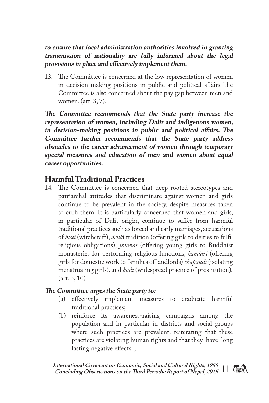#### **to ensure that local administration authorities involved in granting transmission of nationality are fully informed about the legal provisions in place and effectively implement them.**

13. The Committee is concerned at the low representation of women in decision-making positions in public and political affairs.The Committee is also concerned about the pay gap between men and women. (art. 3, 7).

**The Committee recommends that the State party increase the representation of women, including Dalit and indigenous women, in decision-making positions in public and political affairs. The Committee further recommends that the State party address obstacles to the career advancement of women through temporary special measures and education of men and women about equal career opportunities.** 

## **Harmful Traditional Practices**

14. The Committee is concerned that deep-rooted stereotypes and patriarchal attitudes that discriminate against women and girls continue to be prevalent in the society, despite measures taken to curb them. It is particularly concerned that women and girls, in particular of Dalit origin, continue to suffer from harmful traditional practices such as forced and early marriages, accusations of *boxi* (witchcraft), *deuk*i tradition (offering girls to deities to fulfil religious obligations), *jhumas* (offering young girls to Buddhist monasteries for performing religious functions, *kamlari* (offering girls for domestic work to families of landlords) *chapaudi* (isolating menstruating girls)*,* and *badi* (widespread practice of prostitution)*.* (art. 3, 10)

#### **The Committee urges the State party to:**

- (a) effectively implement measures to eradicate harmful traditional practices;
- (b) reinforce its awareness-raising campaigns among the population and in particular in districts and social groups where such practices are prevalent, reiterating that these practices are violating human rights and that they have long lasting negative effects. ;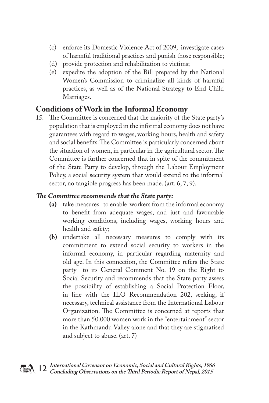- (c) enforce its Domestic Violence Act of 2009, investigate cases of harmful traditional practices and punish those responsible;
- (d) provide protection and rehabilitation to victims;
- (e) expedite the adoption of the Bill prepared by the National Women's Commission to criminalize all kinds of harmful practices, as well as of the National Strategy to End Child Marriages.

## **Conditions of Work in the Informal Economy**

15. The Committee is concerned that the majority of the State party's population that is employed in the informal economy does not have guarantees with regard to wages, working hours, health and safety and social benefits. The Committee is particularly concerned about the situation of women, in particular in the agricultural sector. The Committee is further concerned that in spite of the commitment of the State Party to develop, through the Labour Employment Policy, a social security system that would extend to the informal sector, no tangible progress has been made. (art. 6, 7, 9).

- **(a)** take measures to enable workers from the informal economy to benefit from adequate wages, and just and favourable working conditions, including wages, working hours and health and safety;
- **(b)** undertake all necessary measures to comply with its commitment to extend social security to workers in the informal economy, in particular regarding maternity and old age. In this connection, the Committee refers the State party to its General Comment No. 19 on the Right to Social Security and recommends that the State party assess the possibility of establishing a Social Protection Floor, in line with the ILO Recommendation 202, seeking, if necessary, technical assistance from the International Labour Organization. The Committee is concerned at reports that more than 50.000 women work in the "entertainment" sector in the Kathmandu Valley alone and that they are stigmatised and subject to abuse. (art. 7)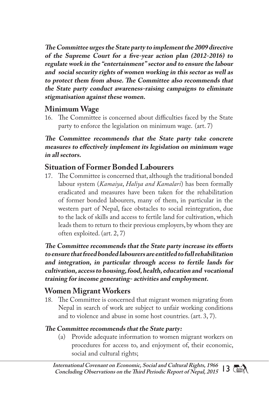**The Committee urges the State party to implement the 2009 directive of the Supreme Court for a five-year action plan (2012-2016) to regulate work in the "entertainment" sector and to ensure the labour and social security rights of women working in this sector as well as to protect them from abuse. The Committee also recommends that the State party conduct awareness-raising campaigns to eliminate stigmatisation against these women.**

## **Minimum Wage**

16. The Committee is concerned about difficulties faced by the State party to enforce the legislation on minimum wage. (art. 7)

#### **The Committee recommends that the State party take concrete measures to effectively implement its legislation on minimum wage in all sectors.**

## **Situation of Former Bonded Labourers**

17. The Committee is concerned that, although the traditional bonded labour system (*Kamaiya*, *Haliya and Kamalari*) has been formally eradicated and measures have been taken for the rehabilitation of former bonded labourers, many of them, in particular in the western part of Nepal, face obstacles to social reintegration, due to the lack of skills and access to fertile land for cultivation, which leads them to return to their previous employers, by whom they are often exploited. (art. 2, 7)

**The Committee recommends that the State party increase its efforts to ensure that freed bonded labourers are entitled to full rehabilitation and integration, in particular through access to fertile lands for cultivation, access to housing, food, health, education and vocational training for income generating- activities and employment.**

## **Women Migrant Workers**

18. The Committee is concerned that migrant women migrating from Nepal in search of work are subject to unfair working conditions and to violence and abuse in some host countries. (art. 3, 7).

#### **The Committee recommends that the State party:**

(a) Provide adequate information to women migrant workers on procedures for access to, and enjoyment of, their economic, social and cultural rights;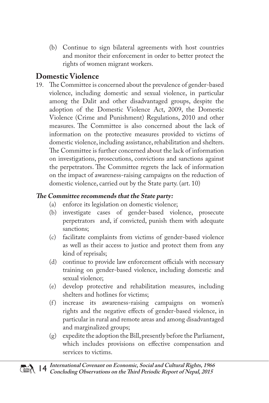(b) Continue to sign bilateral agreements with host countries and monitor their enforcement in order to better protect the rights of women migrant workers.

## **Domestic Violence**

19. The Committee is concerned about the prevalence of gender-based violence, including domestic and sexual violence, in particular among the Dalit and other disadvantaged groups, despite the adoption of the Domestic Violence Act, 2009, the Domestic Violence (Crime and Punishment) Regulations, 2010 and other measures. The Committee is also concerned about the lack of information on the protective measures provided to victims of domestic violence, including assistance, rehabilitation and shelters. The Committee is further concerned about the lack of information on investigations, prosecutions, convictions and sanctions against the perpetrators. The Committee regrets the lack of information on the impact of awareness-raising campaigns on the reduction of domestic violence, carried out by the State party. (art. 10)

- (a) enforce its legislation on domestic violence;<br>(b) investigate cases of gender-based viol
- investigate cases of gender-based violence, prosecute perpetrators and, if convicted, punish them with adequate sanctions;
- (c) facilitate complaints from victims of gender-based violence as well as their access to justice and protect them from any kind of reprisals;
- (d) continue to provide law enforcement officials with necessary training on gender-based violence, including domestic and sexual violence;
- (e) develop protective and rehabilitation measures, including shelters and hotlines for victims;
- (f) increase its awareness-raising campaigns on women's rights and the negative effects of gender-based violence, in particular in rural and remote areas and among disadvantaged and marginalized groups;
- (g) expedite the adoption the Bill, presently before the Parliament, which includes provisions on effective compensation and services to victims.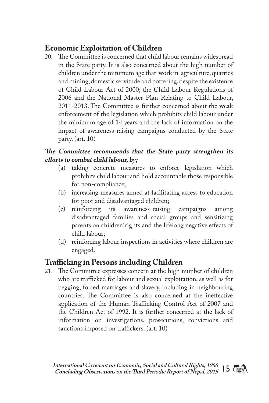## **Economic Exploitation of Children**

20. The Committee is concerned that child labour remains widespread in the State party. It is also concerned about the high number of children under the minimum age that work in agriculture, quarries and mining, domestic servitude and pottering, despite the existence of Child Labour Act of 2000; the Child Labour Regulations of 2006 and the National Master Plan Relating to Child Labour, 2011-2013. The Committee is further concerned about the weak enforcement of the legislation which prohibits child labour under the minimum age of 14 years and the lack of information on the impact of awareness-raising campaigns conducted by the State party. (art. 10)

#### **The Committee recommends that the State party strengthen its efforts to combat child labour, by;**

- (a) taking concrete measures to enforce legislation which prohibits child labour and hold accountable those responsible for non-compliance;
- (b) increasing measures aimed at facilitating access to education for poor and disadvantaged children;
- (c) reinforcing its awareness-raising campaigns among disadvantaged families and social groups and sensitizing parents on children' rights and the lifelong negative effects of child labour;
- (d) reinforcing labour inspections in activities where children are engaged.

## **Trafficking in Persons including Children**

21. The Committee expresses concern at the high number of children who are trafficked for labour and sexual exploitation, as well as for begging, forced marriages and slavery, including in neighbouring countries. The Committee is also concerned at the ineffective application of the Human Trafficking Control Act of 2007 and the Children Act of 1992. It is further concerned at the lack of information on investigations, prosecutions, convictions and sanctions imposed on traffickers. (art. 10)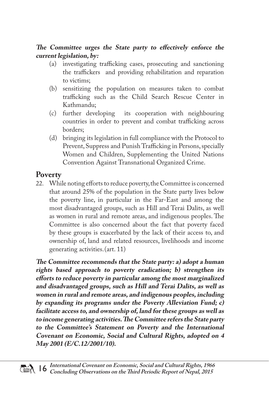#### **The Committee urges the State party to effectively enforce the current legislation, by:**

- (a) investigating trafficking cases, prosecuting and sanctioning the traffickers and providing rehabilitation and reparation to victims;
- (b) sensitizing the population on measures taken to combat trafficking such as the Child Search Rescue Center in Kathmandu;
- (c) further developing its cooperation with neighbouring countries in order to prevent and combat trafficking across borders;
- (d) bringing its legislation in full compliance with the Protocol to Prevent, Suppress and Punish Trafficking in Persons, specially Women and Children, Supplementing the United Nations Convention Against Transnational Organized Crime.

#### **Poverty**

22. While noting efforts to reduce poverty, the Committee is concerned that around 25% of the population in the State party lives below the poverty line, in particular in the Far-East and among the most disadvantaged groups, such as Hill and Terai Dalits, as well as women in rural and remote areas, and indigenous peoples. The Committee is also concerned about the fact that poverty faced by these groups is exacerbated by the lack of their access to, and ownership of, land and related resources, livelihoods and income generating activities.(art. 11)

**The Committee recommends that the State party: a) adopt a human rights based approach to poverty eradication; b) strengthen its efforts to reduce poverty in particular among the most marginalized and disadvantaged groups, such as Hill and Terai Dalits, as well as women in rural and remote areas, and indigenous peoples, including by expanding its programs under the Poverty Alleviation Fund; c) facilitate access to, and ownership of, land for these groups as well as to income generating activities. The Committee refers the State party to the Committee's Statement on Poverty and the International Covenant on Economic, Social and Cultural Rights, adopted on 4 May 2001 (E/C.12/2001/10).**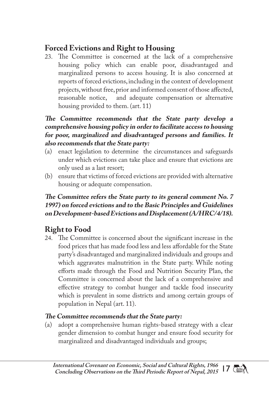## **Forced Evictions and Right to Housing**

23. The Committee is concerned at the lack of a comprehensive housing policy which can enable poor, disadvantaged and marginalized persons to access housing. It is also concerned at reports of forced evictions, including in the context of development projects, without free, prior and informed consent of those affected, reasonable notice, and adequate compensation or alternative and adequate compensation or alternative housing provided to them. (art. 11)

#### **The Committee recommends that the State party develop a comprehensive housing policy in order to facilitate access to housing for poor, marginalized and disadvantaged persons and families. It also recommends that the State party:**

- (a) enact legislation to determine the circumstances and safeguards under which evictions can take place and ensure that evictions are only used as a last resort;
- (b) ensure that victims of forced evictions are provided with alternative housing or adequate compensation.

#### **The Committee refers the State party to its general comment No. 7 1997) on forced evictions and to the Basic Principles and Guidelines on Development-based Evictions and Displacement (A/HRC/4/18).**

## **Right to Food**

24. The Committee is concerned about the significant increase in the food prices that has made food less and less affordable for the State party's disadvantaged and marginalized individuals and groups and which aggravates malnutrition in the State party. While noting efforts made through the Food and Nutrition Security Plan, the Committee is concerned about the lack of a comprehensive and effective strategy to combat hunger and tackle food insecurity which is prevalent in some districts and among certain groups of population in Nepal (art. 11).

#### **The Committee recommends that the State party:**

(a) adopt a comprehensive human rights-based strategy with a clear gender dimension to combat hunger and ensure food security for marginalized and disadvantaged individuals and groups;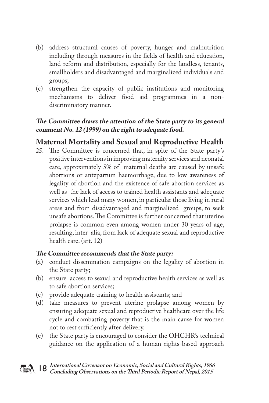- (b) address structural causes of poverty, hunger and malnutrition including through measures in the fields of health and education, land reform and distribution, especially for the landless, tenants, smallholders and disadvantaged and marginalized individuals and groups;
- (c) strengthen the capacity of public institutions and monitoring mechanisms to deliver food aid programmes in a nondiscriminatory manner.

#### **The Committee draws the attention of the State party to its general comment No. 12 (1999) on the right to adequate food.**

## **Maternal Mortality and Sexual and Reproductive Health**

25. The Committee is concerned that, in spite of the State party's positive interventions in improving maternity services and neonatal care, approximately 5% of maternal deaths are caused by unsafe abortions or antepartum haemorrhage, due to low awareness of legality of abortion and the existence of safe abortion services as well as the lack of access to trained health assistants and adequate services which lead many women, in particular those living in rural areas and from disadvantaged and marginalized groups, to seek unsafe abortions. The Committee is further concerned that uterine prolapse is common even among women under 30 years of age, resulting, inter alia, from lack of adequate sexual and reproductive health care. (art. 12)

- (a) conduct dissemination campaigns on the legality of abortion in the State party;
- (b) ensure access to sexual and reproductive health services as well as to safe abortion services;
- (c) provide adequate training to health assistants; and
- (d) take measures to prevent uterine prolapse among women by ensuring adequate sexual and reproductive healthcare over the life cycle and combatting poverty that is the main cause for women not to rest sufficiently after delivery.
- (e) the State party is encouraged to consider the OHCHR's technical guidance on the application of a human rights-based approach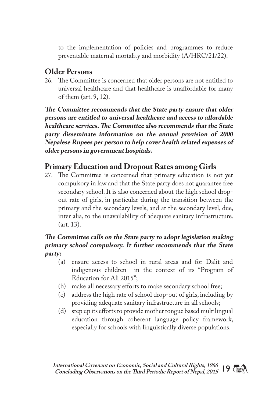to the implementation of policies and programmes to reduce preventable maternal mortality and morbidity (A/HRC/21/22).

## **Older Persons**

26. The Committee is concerned that older persons are not entitled to universal healthcare and that healthcare is unaffordable for many of them (art. 9, 12).

**The Committee recommends that the State party ensure that older persons are entitled to universal healthcare and access to affordable healthcare services. The Committee also recommends that the State party disseminate information on the annual provision of 2000 Nepalese Rupees per person to help cover health related expenses of older persons in government hospitals.** 

## **Primary Education and Dropout Rates among Girls**

27. The Committee is concerned that primary education is not yet compulsory in law and that the State party does not guarantee free secondary school. It is also concerned about the high school dropout rate of girls, in particular during the transition between the primary and the secondary levels, and at the secondary level, due, inter alia, to the unavailability of adequate sanitary infrastructure. (art. 13).

#### **The Committee calls on the State party to adopt legislation making primary school compulsory. It further recommends that the State party:**

- (a) ensure access to school in rural areas and for Dalit and indigenous children in the context of its "Program of Education for All 2015";
- (b) make all necessary efforts to make secondary school free;
- (c) address the high rate of school drop-out of girls, including by providing adequate sanitary infrastructure in all schools;
- (d) step up its efforts to provide mother tongue based multilingual education through coherent language policy framework, especially for schools with linguistically diverse populations.